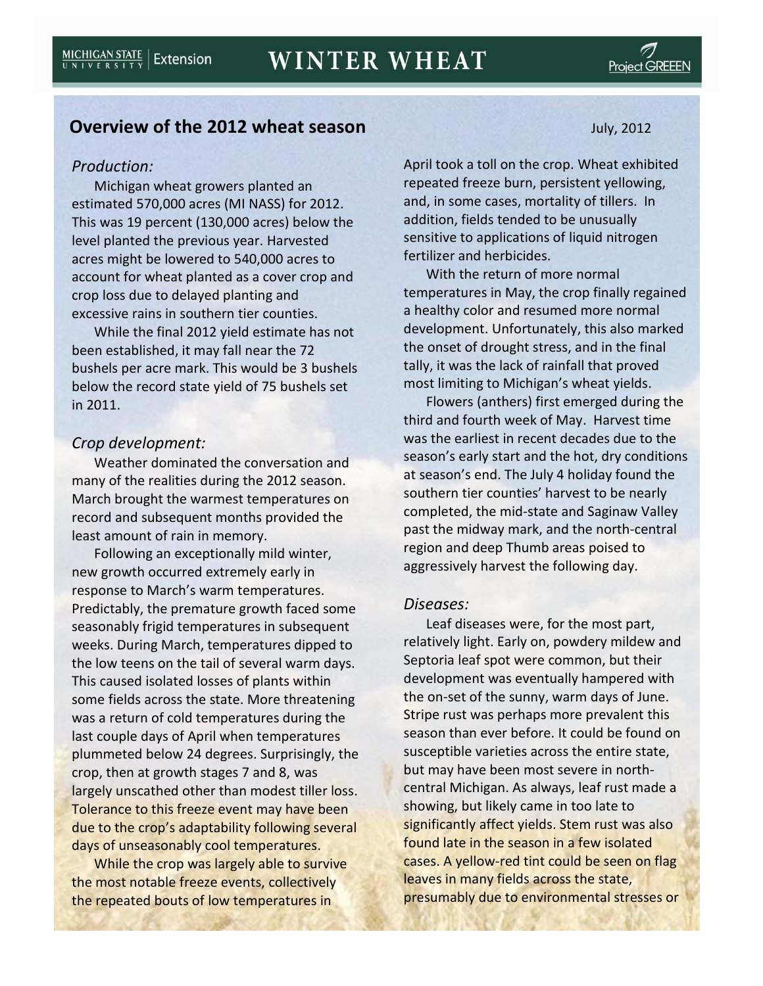# **Overview of the 2012 wheat season** July, 2012

### *Production:*

Michigan wheat growers planted an estimated 570,000 acres (MI NASS) for 2012. This was 19 percent (130,000 acres) below the level planted the previous year. Harvested acres might be lowered to 540,000 acres to account for wheat planted as a cover crop and crop loss due to delayed planting and excessive rains in southern tier counties.

While the final 2012 yield estimate has not been established, it may fall near the 72 bushels per acre mark. This would be 3 bushels below the record state yield of 75 bushels set in 2011.

### *Crop development:*

Weather dominated the conversation and many of the realities during the 2012 season. March brought the warmest temperatures on record and subsequent months provided the least amount of rain in memory.

Following an exceptionally mild winter, new growth occurred extremely early in response to March's warm temperatures. Predictably, the premature growth faced some seasonably frigid temperatures in subsequent weeks. During March, temperatures dipped to the low teens on the tail of several warm days. This caused isolated losses of plants within some fields across the state. More threatening was a return of cold temperatures during the last couple days of April when temperatures plummeted below 24 degrees. Surprisingly, the crop, then at growth stages 7 and 8, was largely unscathed other than modest tiller loss. Tolerance to this freeze event may have been due to the crop's adaptability following several days of unseasonably cool temperatures.

While the crop was largely able to survive the most notable freeze events, collectively the repeated bouts of low temperatures in

April took a toll on the crop. Wheat exhibited repeated freeze burn, persistent yellowing, and, in some cases, mortality of tillers. In addition, fields tended to be unusually sensitive to applications of liquid nitrogen fertilizer and herbicides.

With the return of more normal temperatures in May, the crop finally regained a healthy color and resumed more normal development. Unfortunately, this also marked the onset of drought stress, and in the final tally, it was the lack of rainfall that proved most limiting to Michigan's wheat yields.

Flowers (anthers) first emerged during the third and fourth week of May. Harvest time was the earliest in recent decades due to the season's early start and the hot, dry conditions at season's end. The July 4 holiday found the southern tier counties' harvest to be nearly completed, the mid-state and Saginaw Valley past the midway mark, and the north-central region and deep Thumb areas poised to aggressively harvest the following day.

#### *Diseases:*

Leaf diseases were, for the most part, relatively light. Early on, powdery mildew and Septoria leaf spot were common, but their development was eventually hampered with the on-set of the sunny, warm days of June. Stripe rust was perhaps more prevalent this season than ever before. It could be found on susceptible varieties across the entire state, but may have been most severe in northcentral Michigan. As always, leaf rust made a showing, but likely came in too late to significantly affect yields. Stem rust was also found late in the season in a few isolated cases. A yellow-red tint could be seen on flag leaves in many fields across the state, presumably due to environmental stresses or